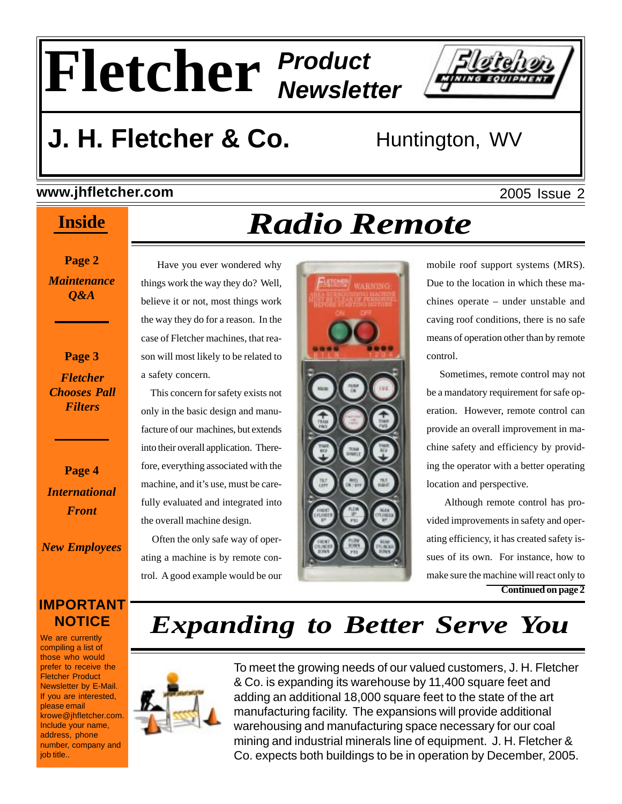# **Fletcher** *Product Newsletter*

 Have you ever wondered why things work the way they do? Well, believe it or not, most things work the way they do for a reason. In the case of Fletcher machines, that reason will most likely to be related to

 This concern for safety exists not only in the basic design and manufacture of our machines, but extends into their overall application. Therefore, everything associated with the machine, and it's use, must be carefully evaluated and integrated into

the overall machine design.

 Often the only safe way of operating a machine is by remote control. A good example would be our



# **J. H. Fletcher & Co.** Huntington, WV

a safety concern.

### **www.jhfletcher.com**

### **Inside**

**Page 2** *Maintenance Q&A*

**Page 3** *Fletcher Chooses Pall Filters*

**Page 4** *International Front*

*New Employees*

### **IMPORTANT NOTICE**

We are currently compiling a list of those who would prefer to receive the Fletcher Product Newsletter by E-Mail. If you are interested, please email krowe@jhfletcher.com. Include your name, address, phone number, company and job title..

# *Radio Remote*



mobile roof support systems (MRS). Due to the location in which these machines operate – under unstable and caving roof conditions, there is no safe means of operation other than by remote control.

 Sometimes, remote control may not be a mandatory requirement for safe operation. However, remote control can provide an overall improvement in machine safety and efficiency by providing the operator with a better operating location and perspective.

 Although remote control has provided improvements in safety and operating efficiency, it has created safety issues of its own. For instance, how to make sure the machine will react only to **Continued on page 2**

# *Expanding to Better Serve You*



To meet the growing needs of our valued customers, J. H. Fletcher & Co. is expanding its warehouse by 11,400 square feet and adding an additional 18,000 square feet to the state of the art manufacturing facility. The expansions will provide additional warehousing and manufacturing space necessary for our coal mining and industrial minerals line of equipment. J. H. Fletcher & Co. expects both buildings to be in operation by December, 2005.

2005 Issue 2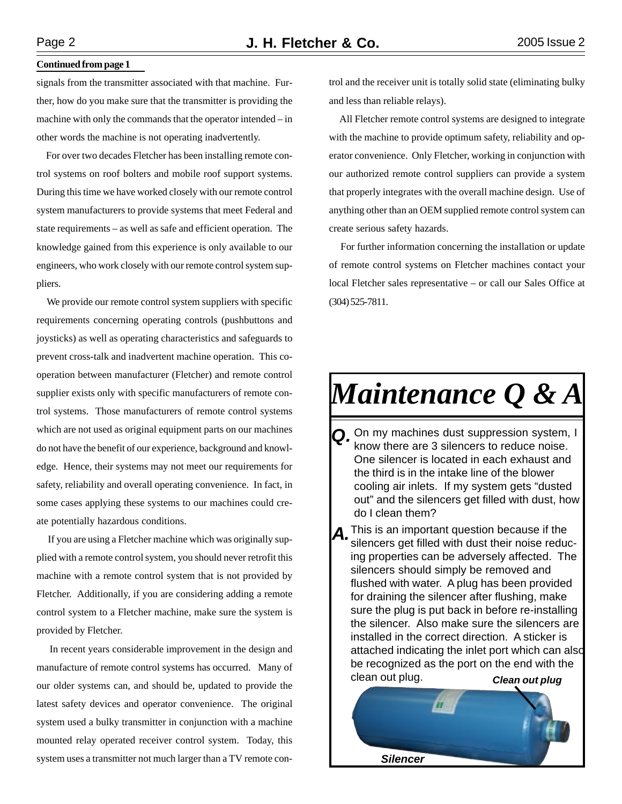#### **Continued from page 1**

signals from the transmitter associated with that machine. Further, how do you make sure that the transmitter is providing the machine with only the commands that the operator intended – in other words the machine is not operating inadvertently.

 For over two decades Fletcher has been installing remote control systems on roof bolters and mobile roof support systems. During this time we have worked closely with our remote control system manufacturers to provide systems that meet Federal and state requirements – as well as safe and efficient operation. The knowledge gained from this experience is only available to our engineers, who work closely with our remote control system suppliers.

 We provide our remote control system suppliers with specific requirements concerning operating controls (pushbuttons and joysticks) as well as operating characteristics and safeguards to prevent cross-talk and inadvertent machine operation. This cooperation between manufacturer (Fletcher) and remote control supplier exists only with specific manufacturers of remote control systems. Those manufacturers of remote control systems which are not used as original equipment parts on our machines do not have the benefit of our experience, background and knowledge. Hence, their systems may not meet our requirements for safety, reliability and overall operating convenience. In fact, in some cases applying these systems to our machines could create potentially hazardous conditions.

 If you are using a Fletcher machine which was originally supplied with a remote control system, you should never retrofit this machine with a remote control system that is not provided by Fletcher. Additionally, if you are considering adding a remote control system to a Fletcher machine, make sure the system is provided by Fletcher.

 In recent years considerable improvement in the design and manufacture of remote control systems has occurred. Many of our older systems can, and should be, updated to provide the latest safety devices and operator convenience. The original system used a bulky transmitter in conjunction with a machine mounted relay operated receiver control system. Today, this system uses a transmitter not much larger than a TV remote control and the receiver unit is totally solid state (eliminating bulky and less than reliable relays).

 All Fletcher remote control systems are designed to integrate with the machine to provide optimum safety, reliability and operator convenience. Only Fletcher, working in conjunction with our authorized remote control suppliers can provide a system that properly integrates with the overall machine design. Use of anything other than an OEM supplied remote control system can create serious safety hazards.

 For further information concerning the installation or update of remote control systems on Fletcher machines contact your local Fletcher sales representative – or call our Sales Office at (304) 525-7811.

# *Maintenance Q & A*

- *Q.* On my machines dust suppression system, I know there are 3 silencers to reduce noise. One silencer is located in each exhaust and the third is in the intake line of the blower cooling air inlets. If my system gets "dusted out" and the silencers get filled with dust, how do I clean them?
- *A.*This is an important question because if the silencers get filled with dust their noise reducing properties can be adversely affected. The silencers should simply be removed and flushed with water. A plug has been provided for draining the silencer after flushing, make sure the plug is put back in before re-installing the silencer. Also make sure the silencers are installed in the correct direction. A sticker is attached indicating the inlet port which can also be recognized as the port on the end with the clean out plug. *Clean out plug*

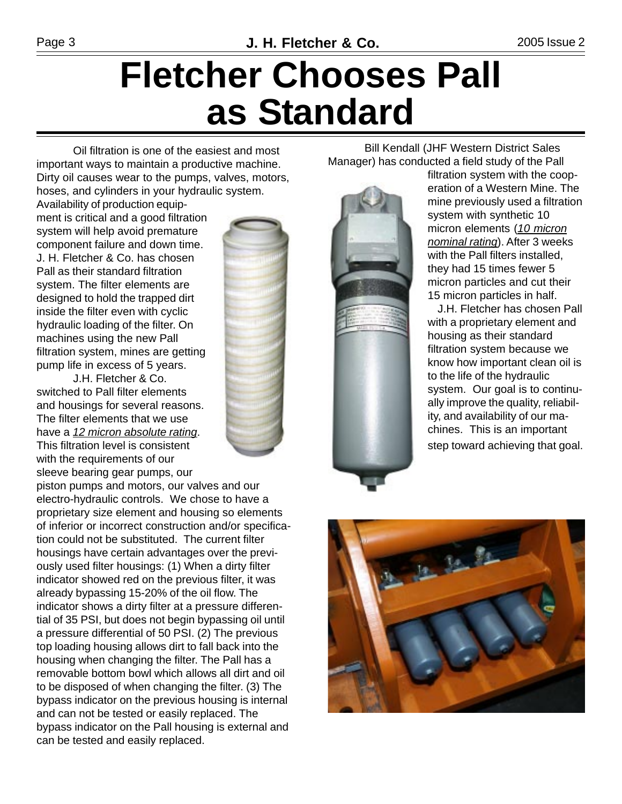# **Fletcher Chooses Pall as Standard**

Oil filtration is one of the easiest and most important ways to maintain a productive machine. Dirty oil causes wear to the pumps, valves, motors, hoses, and cylinders in your hydraulic system.

Availability of production equipment is critical and a good filtration system will help avoid premature component failure and down time. J. H. Fletcher & Co. has chosen Pall as their standard filtration system. The filter elements are designed to hold the trapped dirt inside the filter even with cyclic hydraulic loading of the filter. On machines using the new Pall filtration system, mines are getting pump life in excess of 5 years.

J.H. Fletcher & Co. switched to Pall filter elements and housings for several reasons. The filter elements that we use have a *12 micron absolute rating*. This filtration level is consistent with the requirements of our sleeve bearing gear pumps, our

piston pumps and motors, our valves and our electro-hydraulic controls. We chose to have a proprietary size element and housing so elements of inferior or incorrect construction and/or specification could not be substituted. The current filter housings have certain advantages over the previously used filter housings: (1) When a dirty filter indicator showed red on the previous filter, it was already bypassing 15-20% of the oil flow. The indicator shows a dirty filter at a pressure differential of 35 PSI, but does not begin bypassing oil until a pressure differential of 50 PSI. (2) The previous top loading housing allows dirt to fall back into the housing when changing the filter. The Pall has a removable bottom bowl which allows all dirt and oil to be disposed of when changing the filter. (3) The bypass indicator on the previous housing is internal and can not be tested or easily replaced. The bypass indicator on the Pall housing is external and can be tested and easily replaced.



Bill Kendall (JHF Western District Sales Manager) has conducted a field study of the Pall

filtration system with the cooperation of a Western Mine. The mine previously used a filtration system with synthetic 10 micron elements (*10 micron nominal rating*). After 3 weeks with the Pall filters installed, they had 15 times fewer 5 micron particles and cut their 15 micron particles in half.

J.H. Fletcher has chosen Pall with a proprietary element and housing as their standard filtration system because we know how important clean oil is to the life of the hydraulic system. Our goal is to continually improve the quality, reliability, and availability of our machines. This is an important step toward achieving that goal.